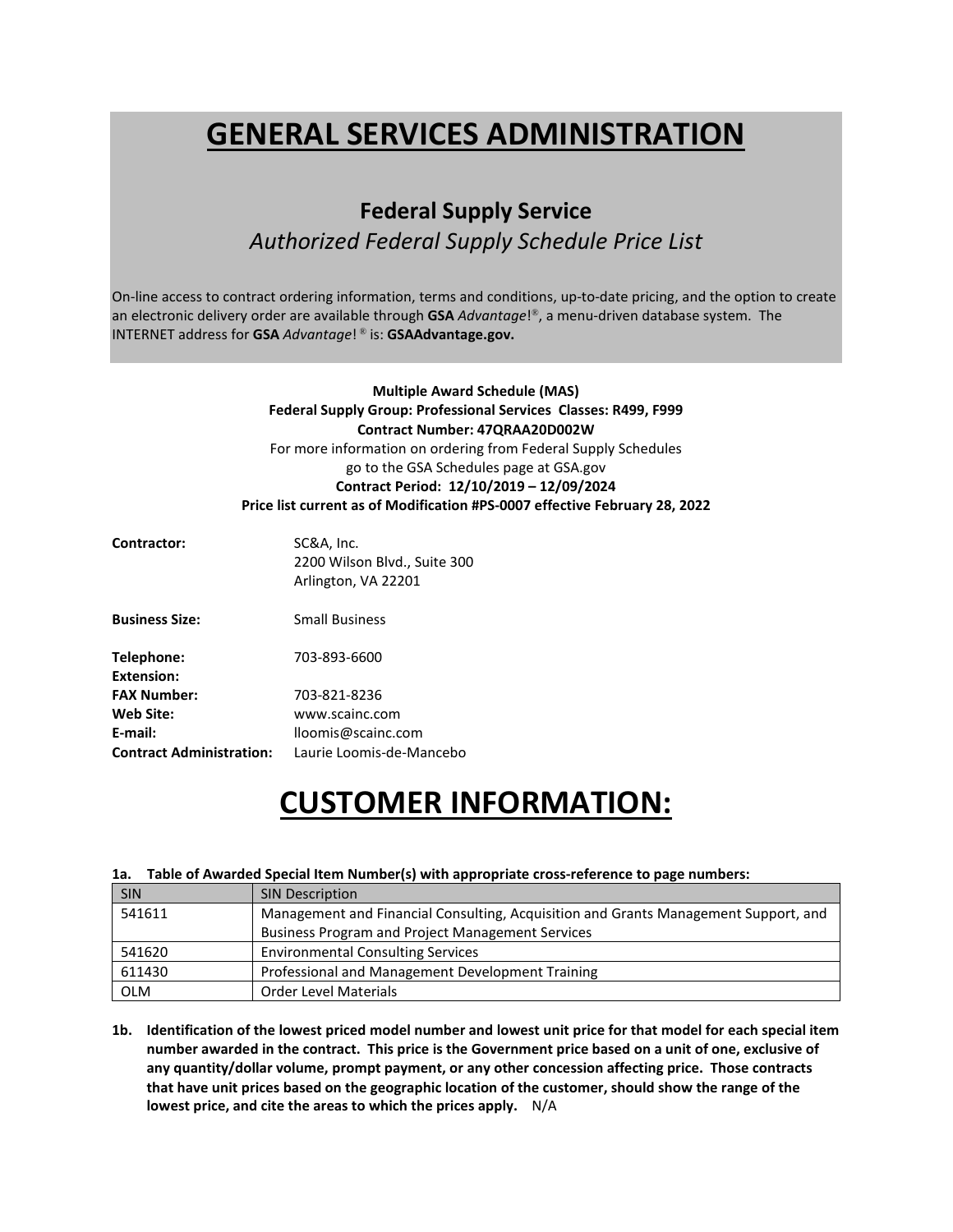# **GENERAL SERVICES ADMINISTRATION**

# **Federal Supply Service**

# *Authorized Federal Supply Schedule Price List*

On-line access to contract ordering information, terms and conditions, up-to-date pricing, and the option to create an electronic delivery order are available through **GSA** *Advantage*!®, a menu-driven database system. The INTERNET address for **GSA** *Advantage*! ® is: **GSAAdvantage.gov.**

> **Multiple Award Schedule (MAS) Federal Supply Group: Professional Services Classes: R499, F999 Contract Number: 47QRAA20D002W** For more information on ordering from Federal Supply Schedules go to the GSA Schedules page at GSA.gov **Contract Period: 12/10/2019 – 12/09/2024 Price list current as of Modification #PS-0007 effective February 28, 2022**

| Contractor:                     | SC&A, Inc.<br>2200 Wilson Blvd., Suite 300<br>Arlington, VA 22201 |
|---------------------------------|-------------------------------------------------------------------|
| <b>Business Size:</b>           | <b>Small Business</b>                                             |
| Telephone:<br>Extension:        | 703-893-6600                                                      |
| <b>FAX Number:</b>              | 703-821-8236                                                      |
| Web Site:                       | www.scainc.com                                                    |
| E-mail:                         | lloomis@scainc.com                                                |
| <b>Contract Administration:</b> | Laurie Loomis-de-Mancebo                                          |

# **CUSTOMER INFORMATION:**

#### **1a. Table of Awarded Special Item Number(s) with appropriate cross-reference to page numbers:**

| <b>SIN</b> | <b>SIN Description</b>                                                              |
|------------|-------------------------------------------------------------------------------------|
| 541611     | Management and Financial Consulting, Acquisition and Grants Management Support, and |
|            | <b>Business Program and Project Management Services</b>                             |
| 541620     | <b>Environmental Consulting Services</b>                                            |
| 611430     | Professional and Management Development Training                                    |
| <b>OLM</b> | <b>Order Level Materials</b>                                                        |

**1b. Identification of the lowest priced model number and lowest unit price for that model for each special item number awarded in the contract. This price is the Government price based on a unit of one, exclusive of any quantity/dollar volume, prompt payment, or any other concession affecting price. Those contracts that have unit prices based on the geographic location of the customer, should show the range of the lowest price, and cite the areas to which the prices apply.** N/A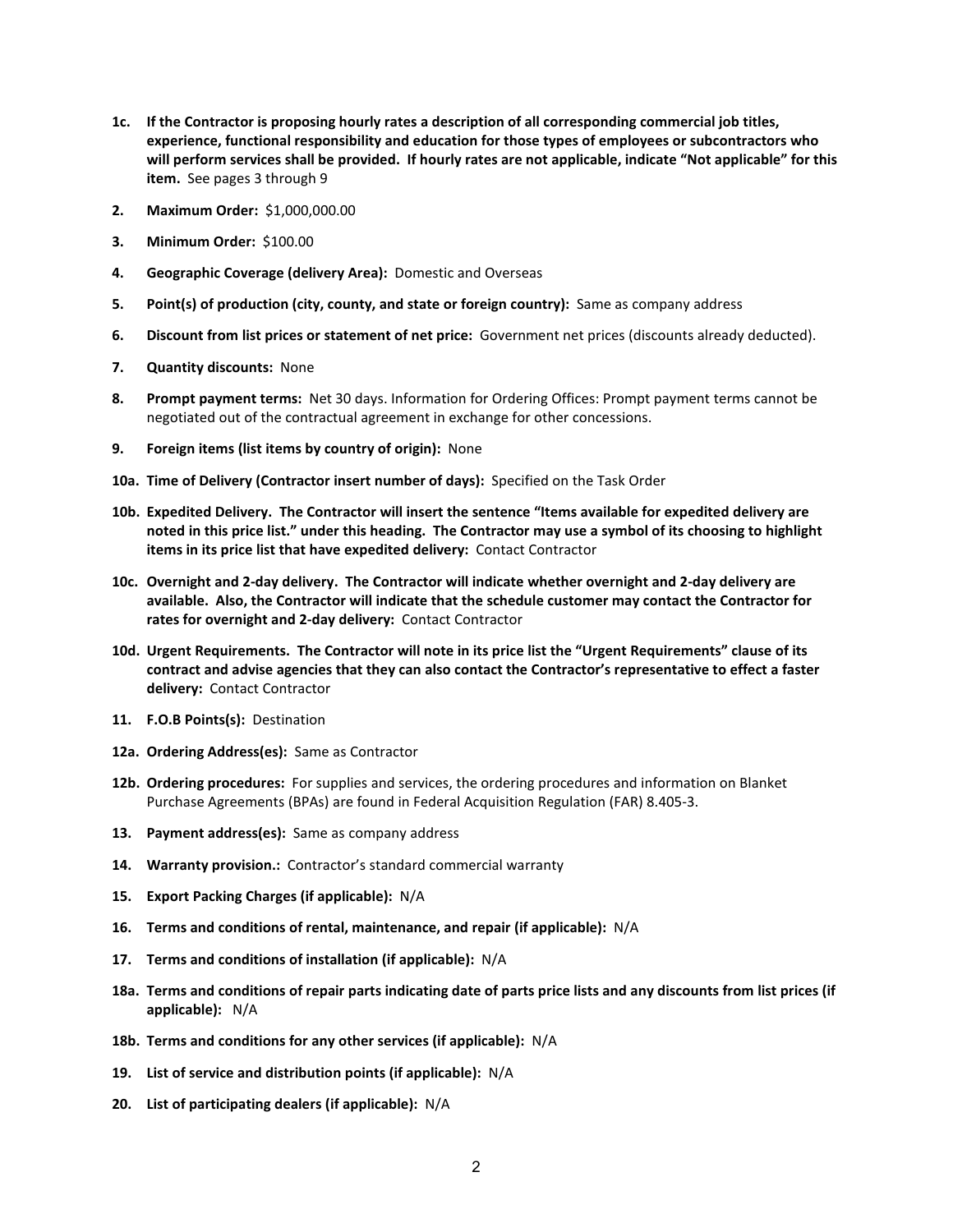- **1c. If the Contractor is proposing hourly rates a description of all corresponding commercial job titles, experience, functional responsibility and education for those types of employees or subcontractors who will perform services shall be provided. If hourly rates are not applicable, indicate "Not applicable" for this item.** See pages 3 through 9
- **2. Maximum Order:** \$1,000,000.00
- **3. Minimum Order:** \$100.00
- **4. Geographic Coverage (delivery Area):** Domestic and Overseas
- **5. Point(s) of production (city, county, and state or foreign country):** Same as company address
- **6. Discount from list prices or statement of net price:** Government net prices (discounts already deducted).
- **7. Quantity discounts:** None
- **8. Prompt payment terms:** Net 30 days. Information for Ordering Offices: Prompt payment terms cannot be negotiated out of the contractual agreement in exchange for other concessions.
- **9. Foreign items (list items by country of origin):** None
- **10a. Time of Delivery (Contractor insert number of days):** Specified on the Task Order
- **10b. Expedited Delivery. The Contractor will insert the sentence "Items available for expedited delivery are noted in this price list." under this heading. The Contractor may use a symbol of its choosing to highlight items in its price list that have expedited delivery:** Contact Contractor
- **10c. Overnight and 2-day delivery. The Contractor will indicate whether overnight and 2-day delivery are available. Also, the Contractor will indicate that the schedule customer may contact the Contractor for rates for overnight and 2-day delivery:** Contact Contractor
- **10d. Urgent Requirements. The Contractor will note in its price list the "Urgent Requirements" clause of its contract and advise agencies that they can also contact the Contractor's representative to effect a faster delivery:** Contact Contractor
- **11. F.O.B Points(s):** Destination
- **12a. Ordering Address(es):** Same as Contractor
- **12b. Ordering procedures:** For supplies and services, the ordering procedures and information on Blanket Purchase Agreements (BPAs) are found in Federal Acquisition Regulation (FAR) 8.405-3.
- **13. Payment address(es):** Same as company address
- **14. Warranty provision.:** Contractor's standard commercial warranty
- **15. Export Packing Charges (if applicable):** N/A
- **16. Terms and conditions of rental, maintenance, and repair (if applicable):** N/A
- **17. Terms and conditions of installation (if applicable):** N/A
- **18a. Terms and conditions of repair parts indicating date of parts price lists and any discounts from list prices (if applicable):** N/A
- **18b. Terms and conditions for any other services (if applicable):** N/A
- **19. List of service and distribution points (if applicable):** N/A
- **20. List of participating dealers (if applicable):** N/A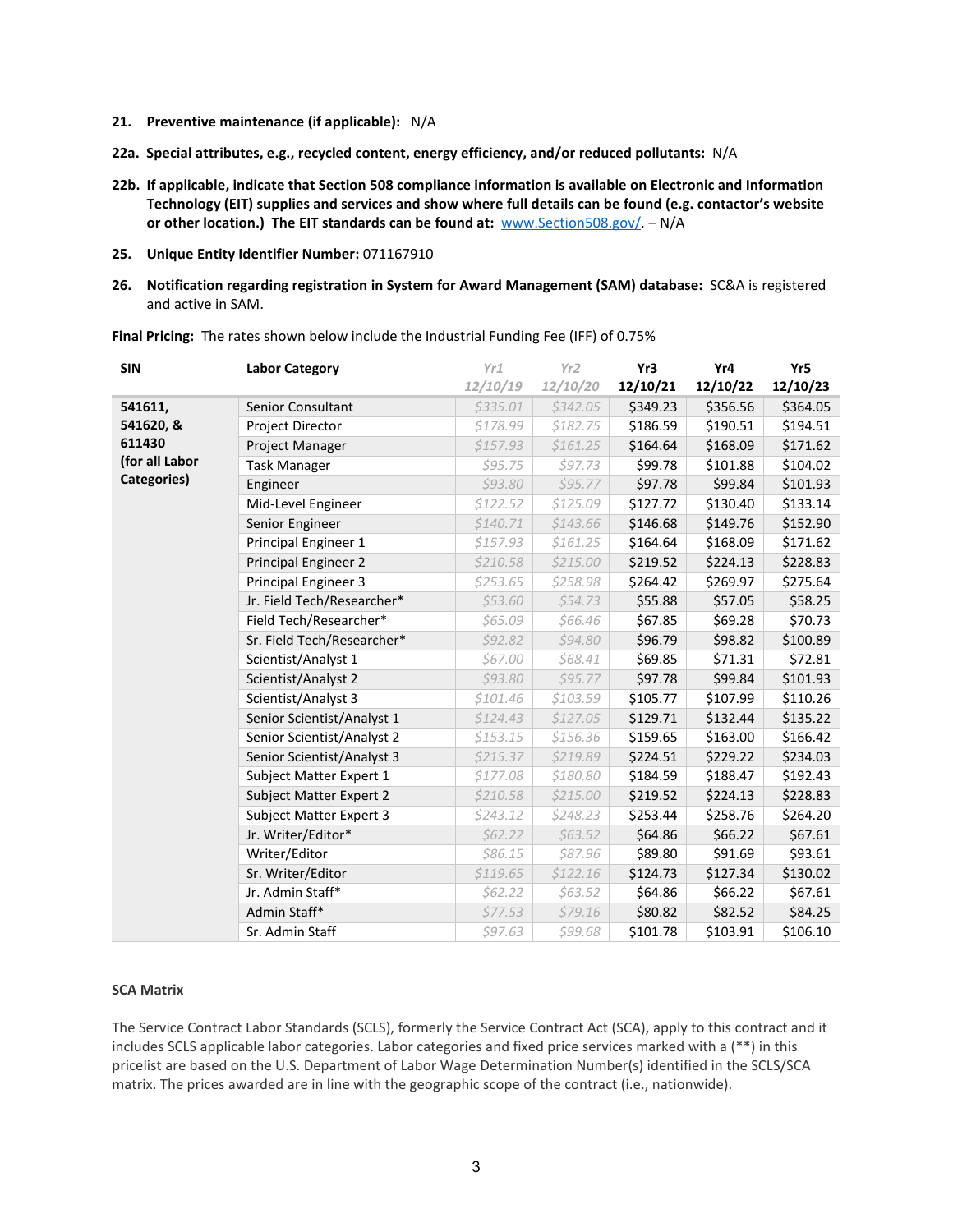- **21. Preventive maintenance (if applicable):** N/A
- **22a. Special attributes, e.g., recycled content, energy efficiency, and/or reduced pollutants:** N/A
- **22b. If applicable, indicate that Section 508 compliance information is available on Electronic and Information Technology (EIT) supplies and services and show where full details can be found (e.g. contactor's website or other location.) The EIT standards can be found at:** [www.Section508.gov/.](http://www.section508.gov/) – N/A
- **25. Unique Entity Identifier Number:** 071167910
- **26. Notification regarding registration in System for Award Management (SAM) database:** SC&A is registered and active in SAM.

| <b>SIN</b>     | <b>Labor Category</b>          | Yr1      | Yr2       | Yr3      | Yr4      | Yr5      |
|----------------|--------------------------------|----------|-----------|----------|----------|----------|
|                |                                | 12/10/19 | 12/10/20  | 12/10/21 | 12/10/22 | 12/10/23 |
| 541611,        | Senior Consultant              | \$335.01 | \$342.05  | \$349.23 | \$356.56 | \$364.05 |
| 541620, &      | Project Director               | \$178.99 | \$182.75  | \$186.59 | \$190.51 | \$194.51 |
| 611430         | Project Manager                | \$157.93 | \$161.25  | \$164.64 | \$168.09 | \$171.62 |
| (for all Labor | <b>Task Manager</b>            | \$95.75  | \$97.73   | \$99.78  | \$101.88 | \$104.02 |
| Categories)    | Engineer                       | \$93.80  | \$95.77   | \$97.78  | \$99.84  | \$101.93 |
|                | Mid-Level Engineer             | \$122.52 | \$125.09  | \$127.72 | \$130.40 | \$133.14 |
|                | Senior Engineer                | \$140.71 | \$143.66  | \$146.68 | \$149.76 | \$152.90 |
|                | Principal Engineer 1           | \$157.93 | \$161.25  | \$164.64 | \$168.09 | \$171.62 |
|                | <b>Principal Engineer 2</b>    | \$210.58 | \$215.00  | \$219.52 | \$224.13 | \$228.83 |
|                | Principal Engineer 3           | \$253.65 | \$258.98  | \$264.42 | \$269.97 | \$275.64 |
|                | Jr. Field Tech/Researcher*     | \$53.60  | \$54.73   | \$55.88  | \$57.05  | \$58.25  |
|                | Field Tech/Researcher*         | \$65.09  | \$66.46   | \$67.85  | \$69.28  | \$70.73  |
|                | Sr. Field Tech/Researcher*     | \$92.82  | \$94.80   | \$96.79  | \$98.82  | \$100.89 |
|                | Scientist/Analyst 1            | \$67.00  | \$68.41   | \$69.85  | \$71.31  | \$72.81  |
|                | Scientist/Analyst 2            | \$93.80  | \$95.77   | \$97.78  | \$99.84  | \$101.93 |
|                | Scientist/Analyst 3            | \$101.46 | \$103.59  | \$105.77 | \$107.99 | \$110.26 |
|                | Senior Scientist/Analyst 1     | \$124.43 | \$127.05  | \$129.71 | \$132.44 | \$135.22 |
|                | Senior Scientist/Analyst 2     | \$153.15 | \$156.36  | \$159.65 | \$163.00 | \$166.42 |
|                | Senior Scientist/Analyst 3     | \$215.37 | \$219.89  | \$224.51 | \$229.22 | \$234.03 |
|                | Subject Matter Expert 1        | \$177.08 | \$180.80  | \$184.59 | \$188.47 | \$192.43 |
|                | <b>Subject Matter Expert 2</b> | \$210.58 | \$215.00  | \$219.52 | \$224.13 | \$228.83 |
|                | Subject Matter Expert 3        | \$243.12 | \$248.23  | \$253.44 | \$258.76 | \$264.20 |
|                | Jr. Writer/Editor*             | \$62.22  | \$63.52   | \$64.86  | \$66.22  | \$67.61  |
|                | Writer/Editor                  | \$86.15  | \$87.96   | \$89.80  | \$91.69  | \$93.61  |
|                | Sr. Writer/Editor              | \$119.65 | \$122.16  | \$124.73 | \$127.34 | \$130.02 |
|                | Jr. Admin Staff*               | \$62.22  | \$63.52\$ | \$64.86  | \$66.22  | \$67.61  |
|                | Admin Staff*                   | \$77.53  | \$79.16   | \$80.82  | \$82.52  | \$84.25  |
|                | Sr. Admin Staff                | \$97.63  | \$99.68   | \$101.78 | \$103.91 | \$106.10 |

**Final Pricing:** The rates shown below include the Industrial Funding Fee (IFF) of 0.75%

#### **SCA Matrix**

The Service Contract Labor Standards (SCLS), formerly the Service Contract Act (SCA), apply to this contract and it includes SCLS applicable labor categories. Labor categories and fixed price services marked with a (\*\*) in this pricelist are based on the U.S. Department of Labor Wage Determination Number(s) identified in the SCLS/SCA matrix. The prices awarded are in line with the geographic scope of the contract (i.e., nationwide).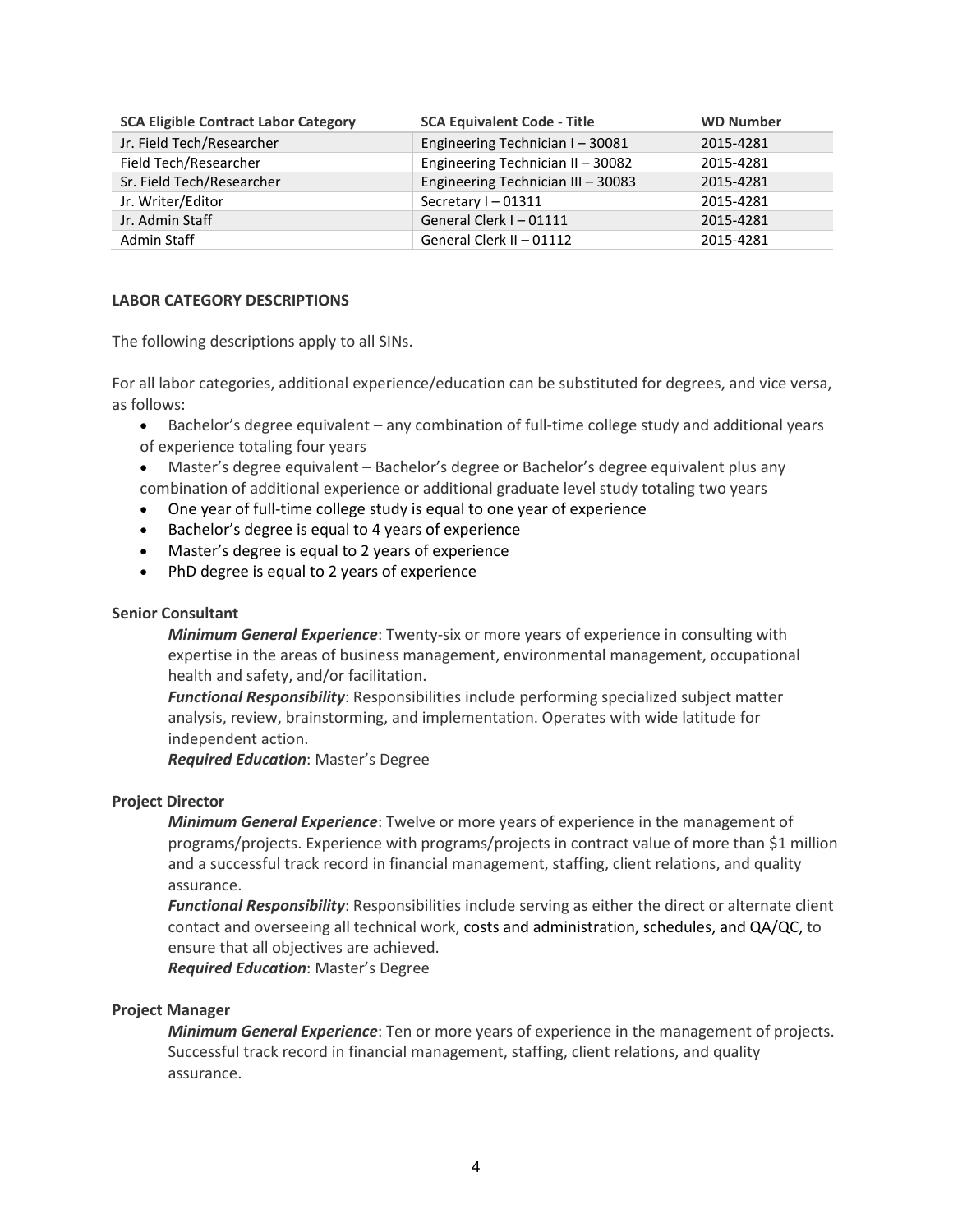| <b>SCA Eligible Contract Labor Category</b> | <b>SCA Equivalent Code - Title</b> | <b>WD Number</b> |
|---------------------------------------------|------------------------------------|------------------|
| Jr. Field Tech/Researcher                   | Engineering Technician I-30081     | 2015-4281        |
| Field Tech/Researcher                       | Engineering Technician II - 30082  | 2015-4281        |
| Sr. Field Tech/Researcher                   | Engineering Technician III - 30083 | 2015-4281        |
| Jr. Writer/Editor                           | Secretary I-01311                  | 2015-4281        |
| Jr. Admin Staff                             | General Clerk I-01111              | 2015-4281        |
| Admin Staff                                 | General Clerk II - 01112           | 2015-4281        |

# **LABOR CATEGORY DESCRIPTIONS**

The following descriptions apply to all SINs.

For all labor categories, additional experience/education can be substituted for degrees, and vice versa, as follows:

- Bachelor's degree equivalent any combination of full-time college study and additional years of experience totaling four years
- Master's degree equivalent Bachelor's degree or Bachelor's degree equivalent plus any combination of additional experience or additional graduate level study totaling two years
- One year of full-time college study is equal to one year of experience
- Bachelor's degree is equal to 4 years of experience
- Master's degree is equal to 2 years of experience
- PhD degree is equal to 2 years of experience

# **Senior Consultant**

*Minimum General Experience*: Twenty-six or more years of experience in consulting with expertise in the areas of business management, environmental management, occupational health and safety, and/or facilitation.

*Functional Responsibility*: Responsibilities include performing specialized subject matter analysis, review, brainstorming, and implementation. Operates with wide latitude for independent action.

*Required Education*: Master's Degree

# **Project Director**

*Minimum General Experience*: Twelve or more years of experience in the management of programs/projects. Experience with programs/projects in contract value of more than \$1 million and a successful track record in financial management, staffing, client relations, and quality assurance.

*Functional Responsibility*: Responsibilities include serving as either the direct or alternate client contact and overseeing all technical work, costs and administration, schedules, and QA/QC, to ensure that all objectives are achieved.

*Required Education*: Master's Degree

# **Project Manager**

*Minimum General Experience*: Ten or more years of experience in the management of projects. Successful track record in financial management, staffing, client relations, and quality assurance.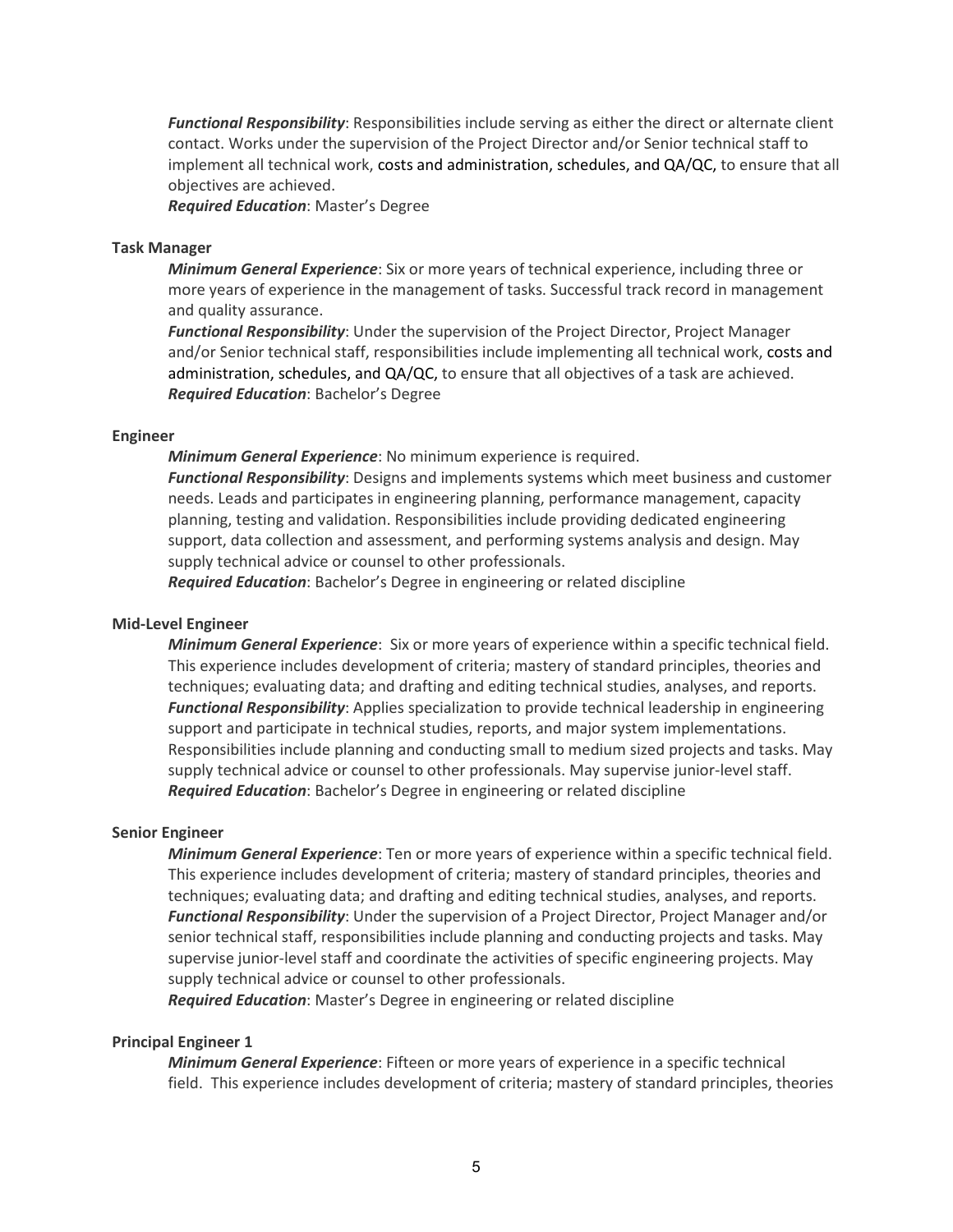*Functional Responsibility*: Responsibilities include serving as either the direct or alternate client contact. Works under the supervision of the Project Director and/or Senior technical staff to implement all technical work, costs and administration, schedules, and QA/QC, to ensure that all objectives are achieved.

*Required Education*: Master's Degree

#### **Task Manager**

*Minimum General Experience*: Six or more years of technical experience, including three or more years of experience in the management of tasks. Successful track record in management and quality assurance.

*Functional Responsibility*: Under the supervision of the Project Director, Project Manager and/or Senior technical staff, responsibilities include implementing all technical work, costs and administration, schedules, and QA/QC, to ensure that all objectives of a task are achieved. *Required Education*: Bachelor's Degree

#### **Engineer**

*Minimum General Experience*: No minimum experience is required.

*Functional Responsibility*: Designs and implements systems which meet business and customer needs. Leads and participates in engineering planning, performance management, capacity planning, testing and validation. Responsibilities include providing dedicated engineering support, data collection and assessment, and performing systems analysis and design. May supply technical advice or counsel to other professionals.

*Required Education*: Bachelor's Degree in engineering or related discipline

## **Mid-Level Engineer**

*Minimum General Experience*: Six or more years of experience within a specific technical field. This experience includes development of criteria; mastery of standard principles, theories and techniques; evaluating data; and drafting and editing technical studies, analyses, and reports. *Functional Responsibility*: Applies specialization to provide technical leadership in engineering support and participate in technical studies, reports, and major system implementations. Responsibilities include planning and conducting small to medium sized projects and tasks. May supply technical advice or counsel to other professionals. May supervise junior-level staff. *Required Education*: Bachelor's Degree in engineering or related discipline

#### **Senior Engineer**

*Minimum General Experience*: Ten or more years of experience within a specific technical field. This experience includes development of criteria; mastery of standard principles, theories and techniques; evaluating data; and drafting and editing technical studies, analyses, and reports. *Functional Responsibility*: Under the supervision of a Project Director, Project Manager and/or senior technical staff, responsibilities include planning and conducting projects and tasks. May supervise junior-level staff and coordinate the activities of specific engineering projects. May supply technical advice or counsel to other professionals.

*Required Education*: Master's Degree in engineering or related discipline

## **Principal Engineer 1**

*Minimum General Experience*: Fifteen or more years of experience in a specific technical field. This experience includes development of criteria; mastery of standard principles, theories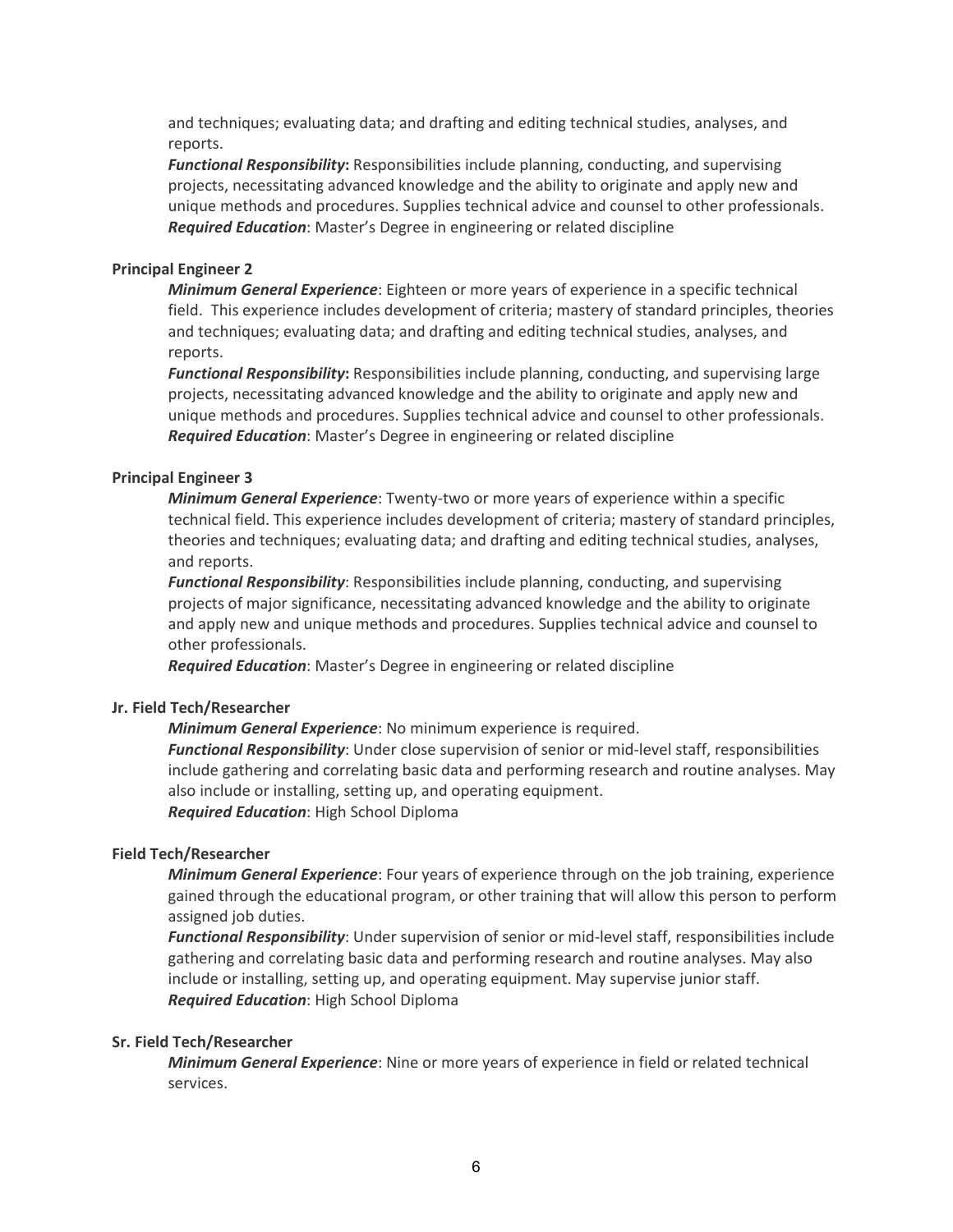and techniques; evaluating data; and drafting and editing technical studies, analyses, and reports.

*Functional Responsibility***:** Responsibilities include planning, conducting, and supervising projects, necessitating advanced knowledge and the ability to originate and apply new and unique methods and procedures. Supplies technical advice and counsel to other professionals. *Required Education*: Master's Degree in engineering or related discipline

# **Principal Engineer 2**

*Minimum General Experience*: Eighteen or more years of experience in a specific technical field. This experience includes development of criteria; mastery of standard principles, theories and techniques; evaluating data; and drafting and editing technical studies, analyses, and reports.

*Functional Responsibility***:** Responsibilities include planning, conducting, and supervising large projects, necessitating advanced knowledge and the ability to originate and apply new and unique methods and procedures. Supplies technical advice and counsel to other professionals. *Required Education*: Master's Degree in engineering or related discipline

# **Principal Engineer 3**

*Minimum General Experience*: Twenty-two or more years of experience within a specific technical field. This experience includes development of criteria; mastery of standard principles, theories and techniques; evaluating data; and drafting and editing technical studies, analyses, and reports.

*Functional Responsibility*: Responsibilities include planning, conducting, and supervising projects of major significance, necessitating advanced knowledge and the ability to originate and apply new and unique methods and procedures. Supplies technical advice and counsel to other professionals.

*Required Education*: Master's Degree in engineering or related discipline

# **Jr. Field Tech/Researcher**

*Minimum General Experience*: No minimum experience is required. *Functional Responsibility*: Under close supervision of senior or mid-level staff, responsibilities include gathering and correlating basic data and performing research and routine analyses. May also include or installing, setting up, and operating equipment. *Required Education*: High School Diploma

# **Field Tech/Researcher**

*Minimum General Experience*: Four years of experience through on the job training, experience gained through the educational program, or other training that will allow this person to perform assigned job duties.

*Functional Responsibility*: Under supervision of senior or mid-level staff, responsibilities include gathering and correlating basic data and performing research and routine analyses. May also include or installing, setting up, and operating equipment. May supervise junior staff. *Required Education*: High School Diploma

# **Sr. Field Tech/Researcher**

*Minimum General Experience*: Nine or more years of experience in field or related technical services.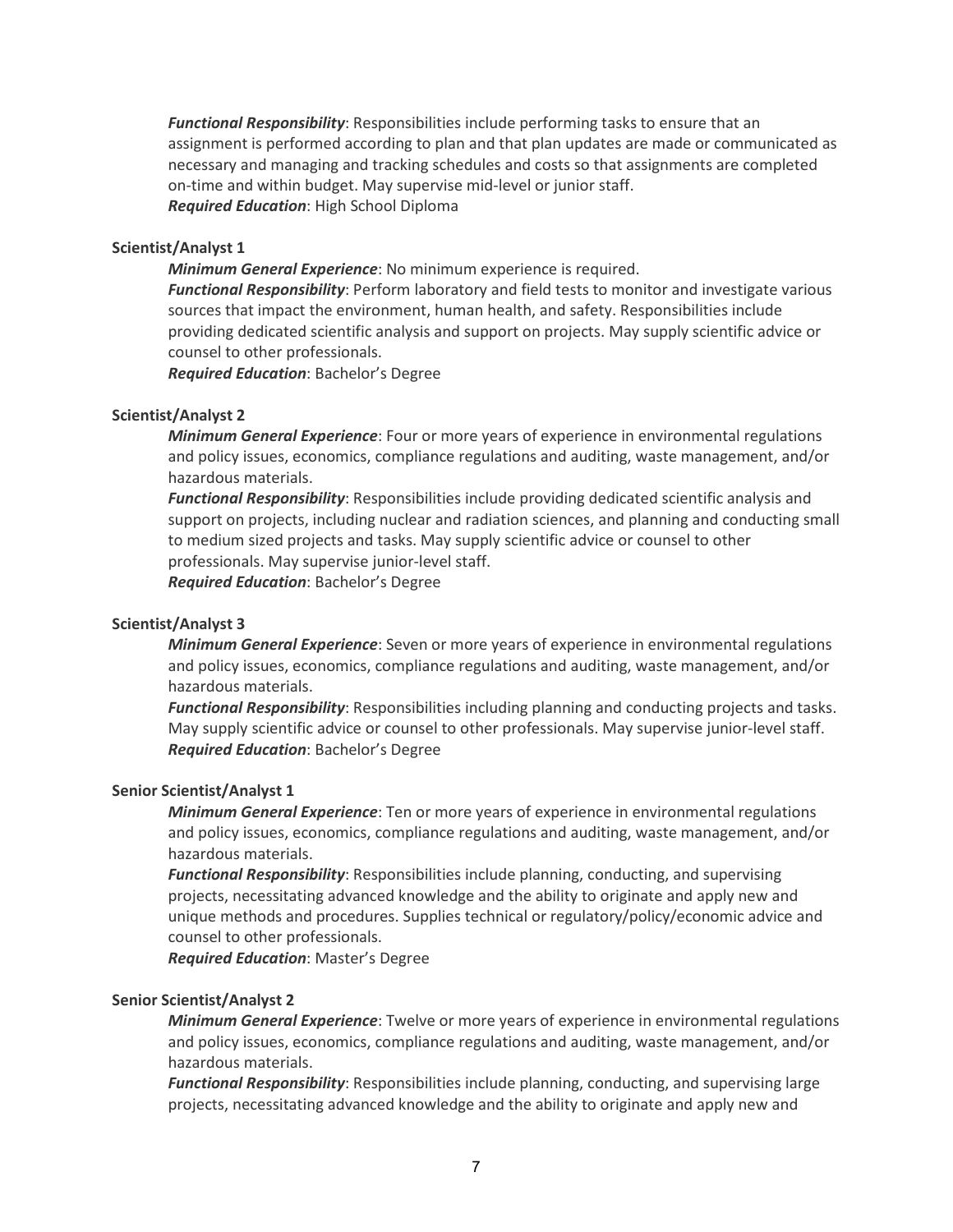*Functional Responsibility*: Responsibilities include performing tasks to ensure that an assignment is performed according to plan and that plan updates are made or communicated as necessary and managing and tracking schedules and costs so that assignments are completed on-time and within budget. May supervise mid-level or junior staff. *Required Education*: High School Diploma

# **Scientist/Analyst 1**

*Minimum General Experience*: No minimum experience is required.

*Functional Responsibility*: Perform laboratory and field tests to monitor and investigate various sources that impact the environment, human health, and safety. Responsibilities include providing dedicated scientific analysis and support on projects. May supply scientific advice or counsel to other professionals.

*Required Education*: Bachelor's Degree

#### **Scientist/Analyst 2**

*Minimum General Experience*: Four or more years of experience in environmental regulations and policy issues, economics, compliance regulations and auditing, waste management, and/or hazardous materials.

*Functional Responsibility*: Responsibilities include providing dedicated scientific analysis and support on projects, including nuclear and radiation sciences, and planning and conducting small to medium sized projects and tasks. May supply scientific advice or counsel to other professionals. May supervise junior-level staff. *Required Education*: Bachelor's Degree

## **Scientist/Analyst 3**

*Minimum General Experience*: Seven or more years of experience in environmental regulations and policy issues, economics, compliance regulations and auditing, waste management, and/or hazardous materials.

*Functional Responsibility*: Responsibilities including planning and conducting projects and tasks. May supply scientific advice or counsel to other professionals. May supervise junior-level staff. *Required Education*: Bachelor's Degree

#### **Senior Scientist/Analyst 1**

*Minimum General Experience*: Ten or more years of experience in environmental regulations and policy issues, economics, compliance regulations and auditing, waste management, and/or hazardous materials.

*Functional Responsibility*: Responsibilities include planning, conducting, and supervising projects, necessitating advanced knowledge and the ability to originate and apply new and unique methods and procedures. Supplies technical or regulatory/policy/economic advice and counsel to other professionals.

*Required Education*: Master's Degree

# **Senior Scientist/Analyst 2**

*Minimum General Experience*: Twelve or more years of experience in environmental regulations and policy issues, economics, compliance regulations and auditing, waste management, and/or hazardous materials.

*Functional Responsibility*: Responsibilities include planning, conducting, and supervising large projects, necessitating advanced knowledge and the ability to originate and apply new and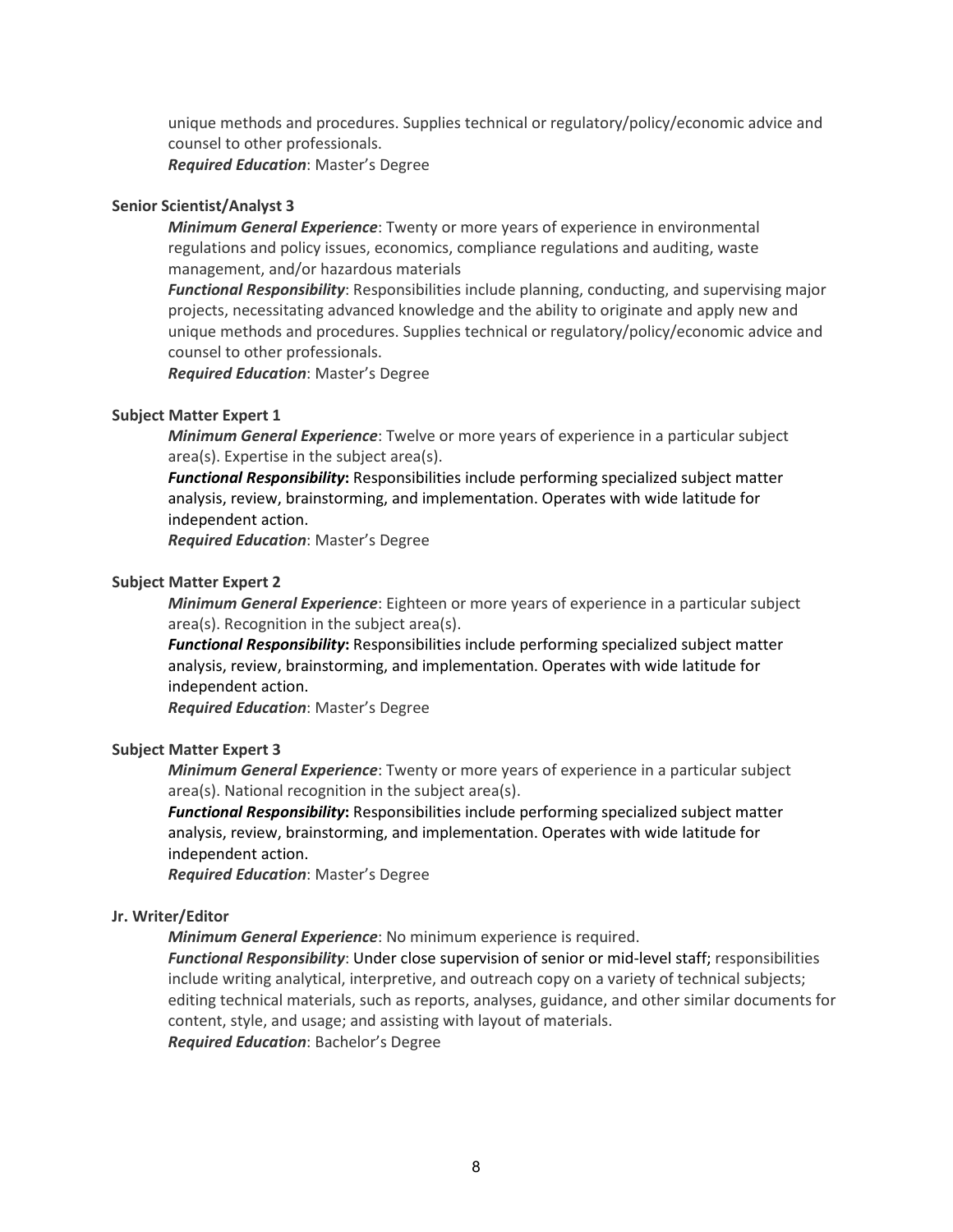unique methods and procedures. Supplies technical or regulatory/policy/economic advice and counsel to other professionals.

*Required Education*: Master's Degree

### **Senior Scientist/Analyst 3**

*Minimum General Experience*: Twenty or more years of experience in environmental regulations and policy issues, economics, compliance regulations and auditing, waste management, and/or hazardous materials

*Functional Responsibility*: Responsibilities include planning, conducting, and supervising major projects, necessitating advanced knowledge and the ability to originate and apply new and unique methods and procedures. Supplies technical or regulatory/policy/economic advice and counsel to other professionals.

*Required Education*: Master's Degree

#### **Subject Matter Expert 1**

*Minimum General Experience*: Twelve or more years of experience in a particular subject area(s). Expertise in the subject area(s).

*Functional Responsibility***:** Responsibilities include performing specialized subject matter analysis, review, brainstorming, and implementation. Operates with wide latitude for independent action.

*Required Education*: Master's Degree

#### **Subject Matter Expert 2**

*Minimum General Experience*: Eighteen or more years of experience in a particular subject area(s). Recognition in the subject area(s).

*Functional Responsibility***:** Responsibilities include performing specialized subject matter analysis, review, brainstorming, and implementation. Operates with wide latitude for independent action.

*Required Education*: Master's Degree

### **Subject Matter Expert 3**

*Minimum General Experience*: Twenty or more years of experience in a particular subject area(s). National recognition in the subject area(s).

*Functional Responsibility***:** Responsibilities include performing specialized subject matter analysis, review, brainstorming, and implementation. Operates with wide latitude for independent action.

*Required Education*: Master's Degree

#### **Jr. Writer/Editor**

*Minimum General Experience*: No minimum experience is required.

*Functional Responsibility*: Under close supervision of senior or mid-level staff; responsibilities include writing analytical, interpretive, and outreach copy on a variety of technical subjects; editing technical materials, such as reports, analyses, guidance, and other similar documents for content, style, and usage; and assisting with layout of materials. *Required Education*: Bachelor's Degree